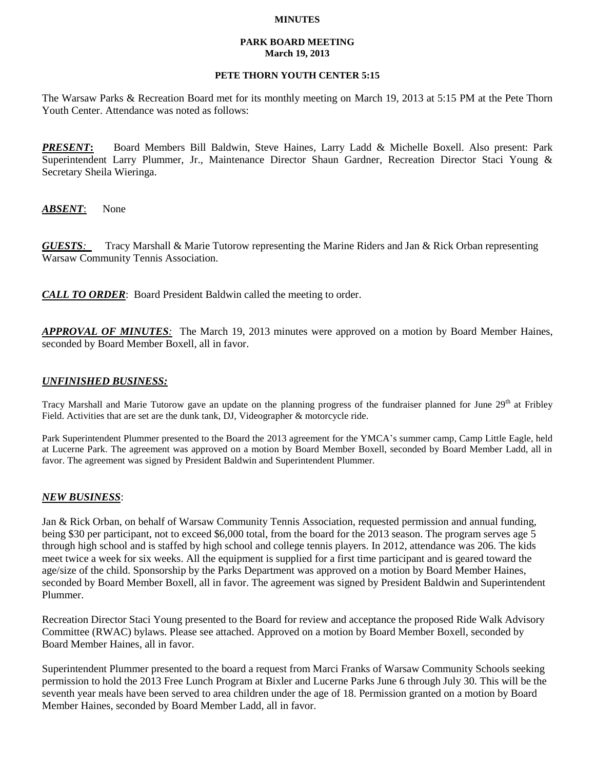### **MINUTES**

### **PARK BOARD MEETING March 19, 2013**

# **PETE THORN YOUTH CENTER 5:15**

The Warsaw Parks & Recreation Board met for its monthly meeting on March 19, 2013 at 5:15 PM at the Pete Thorn Youth Center. Attendance was noted as follows:

*PRESENT***:** Board Members Bill Baldwin, Steve Haines, Larry Ladd & Michelle Boxell. Also present: Park Superintendent Larry Plummer, Jr., Maintenance Director Shaun Gardner, Recreation Director Staci Young & Secretary Sheila Wieringa.

*ABSENT*: None

*GUESTS:*Tracy Marshall & Marie Tutorow representing the Marine Riders and Jan & Rick Orban representing Warsaw Community Tennis Association.

*CALL TO ORDER*: Board President Baldwin called the meeting to order.

*APPROVAL OF MINUTES:* The March 19, 2013 minutes were approved on a motion by Board Member Haines, seconded by Board Member Boxell, all in favor.

### *UNFINISHED BUSINESS:*

Tracy Marshall and Marie Tutorow gave an update on the planning progress of the fundraiser planned for June 29<sup>th</sup> at Fribley Field. Activities that are set are the dunk tank, DJ, Videographer & motorcycle ride.

Park Superintendent Plummer presented to the Board the 2013 agreement for the YMCA's summer camp, Camp Little Eagle, held at Lucerne Park. The agreement was approved on a motion by Board Member Boxell, seconded by Board Member Ladd, all in favor. The agreement was signed by President Baldwin and Superintendent Plummer.

# *NEW BUSINESS*:

Jan & Rick Orban, on behalf of Warsaw Community Tennis Association, requested permission and annual funding, being \$30 per participant, not to exceed \$6,000 total, from the board for the 2013 season. The program serves age 5 through high school and is staffed by high school and college tennis players. In 2012, attendance was 206. The kids meet twice a week for six weeks. All the equipment is supplied for a first time participant and is geared toward the age/size of the child. Sponsorship by the Parks Department was approved on a motion by Board Member Haines, seconded by Board Member Boxell, all in favor. The agreement was signed by President Baldwin and Superintendent Plummer.

Recreation Director Staci Young presented to the Board for review and acceptance the proposed Ride Walk Advisory Committee (RWAC) bylaws. Please see attached. Approved on a motion by Board Member Boxell, seconded by Board Member Haines, all in favor.

Superintendent Plummer presented to the board a request from Marci Franks of Warsaw Community Schools seeking permission to hold the 2013 Free Lunch Program at Bixler and Lucerne Parks June 6 through July 30. This will be the seventh year meals have been served to area children under the age of 18. Permission granted on a motion by Board Member Haines, seconded by Board Member Ladd, all in favor.